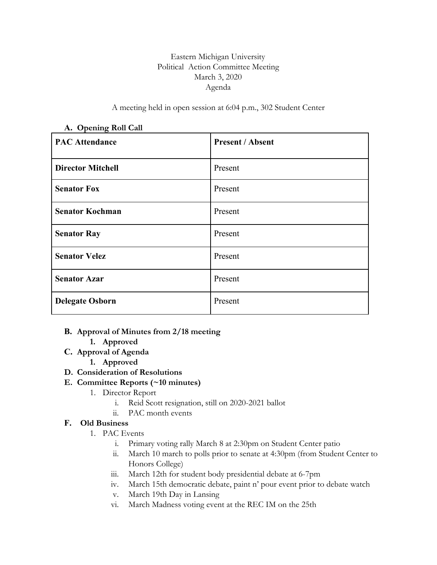### Eastern Michigan University Political Action Committee Meeting March 3, 2020 Agenda

A meeting held in open session at 6:04 p.m., 302 Student Center

| ె<br><b>PAC Attendance</b> | <b>Present / Absent</b> |
|----------------------------|-------------------------|
| <b>Director Mitchell</b>   | Present                 |
| <b>Senator Fox</b>         | Present                 |
| <b>Senator Kochman</b>     | Present                 |
| <b>Senator Ray</b>         | Present                 |
| <b>Senator Velez</b>       | Present                 |
| <b>Senator Azar</b>        | Present                 |
| <b>Delegate Osborn</b>     | Present                 |

#### **A. Opening Roll Call**

### **B. Approval of Minutes from 2/18 meeting**

- **1. Approved**
- **C. Approval of Agenda**
	- **1. Approved**
- **D. Consideration of Resolutions**

### **E. Committee Reports (~10 minutes)**

- 1. Director Report
	- i. Reid Scott resignation, still on 2020-2021 ballot
	- ii. PAC month events

### **F. Old Business**

- 1. PAC Events
	- i. Primary voting rally March 8 at 2:30pm on Student Center patio
	- ii. March 10 march to polls prior to senate at 4:30pm (from Student Center to Honors College)
	- iii. March 12th for student body presidential debate at 6-7pm
	- iv. March 15th democratic debate, paint n' pour event prior to debate watch
	- v. March 19th Day in Lansing
	- vi. March Madness voting event at the REC IM on the 25th